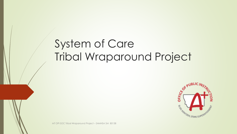# System of Care Tribal Wraparound Project



MT OPI SOC Tribal Wraparound Project – SAMHSA SM 80138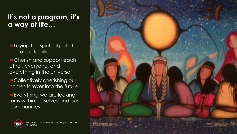### **It's not a program, it's a way of life…**

**-Laying the spiritual path for** our future families

Cherish and support each other, everyone, and everything in the universe

Collectively cherishing our homes forever into the future

Everything we are looking for is within ourselves and our communities



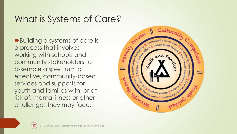## What is Systems of Care?

■Building a systems of care is a process that involves working with schools and community stakeholders to assemble a spectrum of effective, community-based services and supports for youth and families with, or at risk of, mental illness or other challenges they may face.



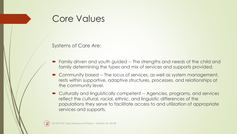### Core Values

Systems of Care Are:

- Family driven and youth guided -- The strengths and needs of the child and family determining the types and mix of services and supports provided.
- Community based -- The locus of services, as well as system management, rests within supportive, adaptive structures, processes, and relationships at the community level.
- Culturally and linguistically competent -- Agencies, programs, and services reflect the cultural, racial, ethnic, and linguistic differences of the populations they serve to facilitate access to and utilization of appropriate services and supports.

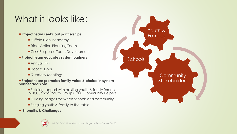## What it looks like:

#### **Project team seeks out partnerships**

- ■Buffalo Hide Academy
- Tribal Action Planning Team
- Crisis Response Team Development

#### **Project team educates system partners**

- Annual PIRs
- ■Door to Door
- Quarterly Meetings

#### **Project team promotes family voice & choice in system partner decisions**

- Building rapport with existing youth & family forums (NDO, School Youth Groups, PTA, Community Helpers)
- Building bridges between schools and community
- Bringing youth & family to the table
- **Strengths & Challenges**



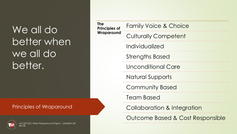# $\overline{)}$ We all do better when we all do better.

#### Principles of Wraparound



| <b>The</b><br><b>Principles of</b><br>Wraparound | <b>Family Voice &amp; Choice</b> |
|--------------------------------------------------|----------------------------------|
|                                                  | <b>Culturally Competent</b>      |
|                                                  | Individualized                   |
|                                                  | <b>Strengths Based</b>           |
|                                                  | <b>Unconditional Care</b>        |
|                                                  | <b>Natural Supports</b>          |
|                                                  | <b>Community Based</b>           |
|                                                  | <b>Team Based</b>                |
|                                                  | Collaboration & Integration      |
|                                                  | Outcome Based & Cost Responsible |
|                                                  |                                  |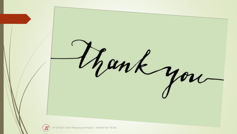